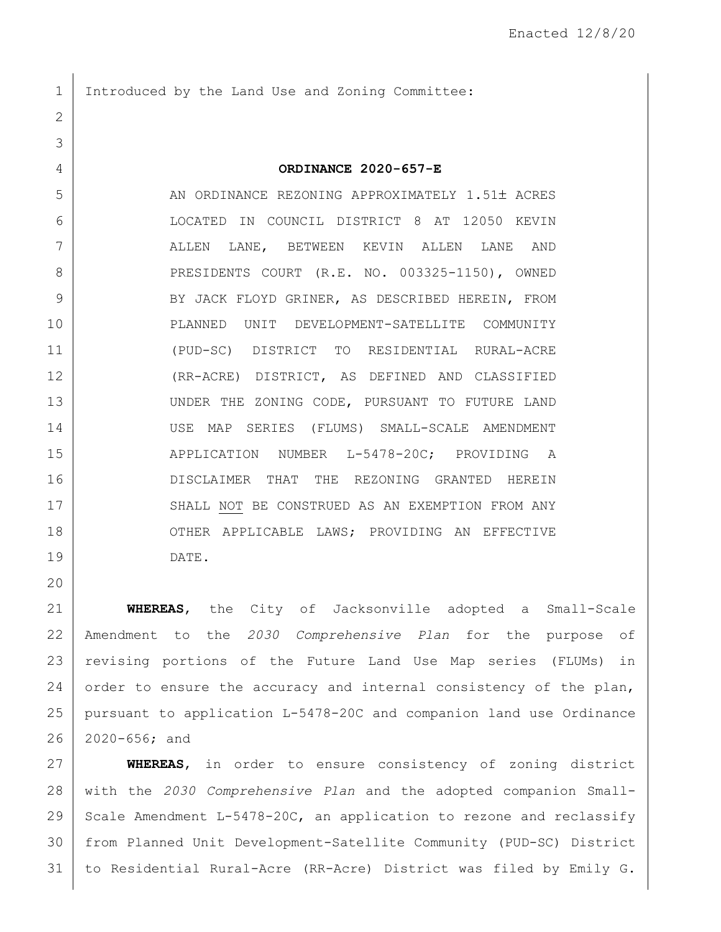1 Introduced by the Land Use and Zoning Committee:

5 AN ORDINANCE REZONING APPROXIMATELY 1.51± ACRES LOCATED IN COUNCIL DISTRICT 8 AT 12050 KEVIN ALLEN LANE, BETWEEN KEVIN ALLEN LANE AND 8 PRESIDENTS COURT (R.E. NO. 003325-1150), OWNED 9 BY JACK FLOYD GRINER, AS DESCRIBED HEREIN, FROM PLANNED UNIT DEVELOPMENT-SATELLITE COMMUNITY (PUD-SC) DISTRICT TO RESIDENTIAL RURAL-ACRE (RR-ACRE) DISTRICT, AS DEFINED AND CLASSIFIED 13 UNDER THE ZONING CODE, PURSUANT TO FUTURE LAND USE MAP SERIES (FLUMS) SMALL-SCALE AMENDMENT 15 | APPLICATION NUMBER L-5478-20C; PROVIDING A 16 DISCLAIMER THAT THE REZONING GRANTED HEREIN 17 SHALL NOT BE CONSTRUED AS AN EXEMPTION FROM ANY 18 OTHER APPLICABLE LAWS; PROVIDING AN EFFECTIVE DATE.

 **WHEREAS**, the City of Jacksonville adopted a Small-Scale Amendment to the *2030 Comprehensive Plan* for the purpose of revising portions of the Future Land Use Map series (FLUMs) in 24 order to ensure the accuracy and internal consistency of the plan, pursuant to application L-5478-20C and companion land use Ordinance 2020-656; and

 **WHEREAS**, in order to ensure consistency of zoning district with the *2030 Comprehensive Plan* and the adopted companion Small-29 Scale Amendment L-5478-20C, an application to rezone and reclassify from Planned Unit Development-Satellite Community (PUD-SC) District to Residential Rural-Acre (RR-Acre) District was filed by Emily G.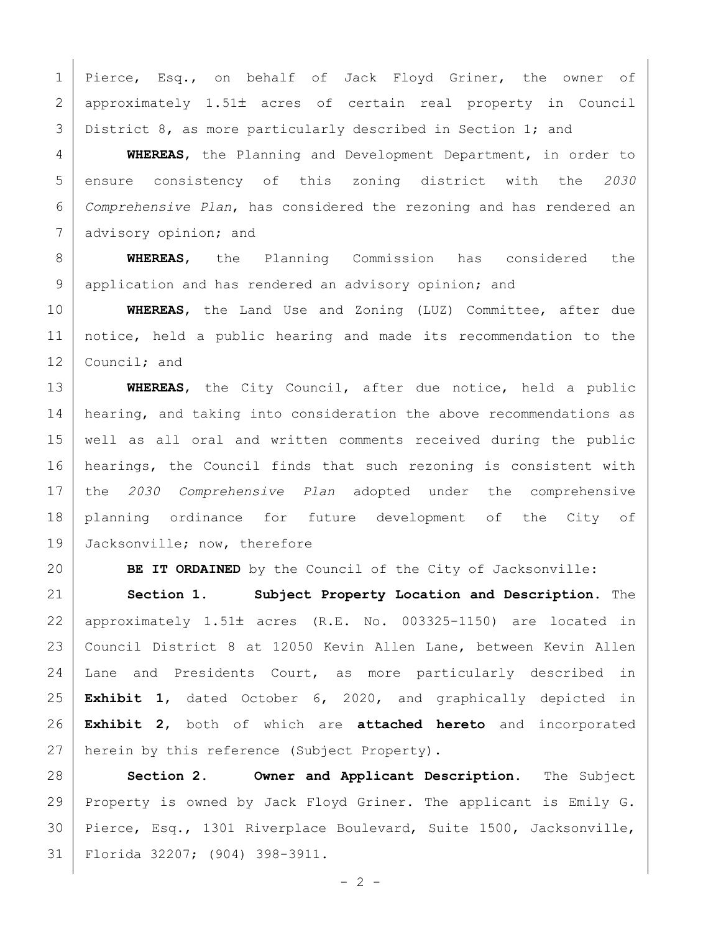1 Pierce, Esq., on behalf of Jack Floyd Griner, the owner of 2 approximately 1.51± acres of certain real property in Council 3 District 8, as more particularly described in Section 1; and

 **WHEREAS**, the Planning and Development Department, in order to ensure consistency of this zoning district with the *2030 Comprehensive Plan*, has considered the rezoning and has rendered an 7 advisory opinion; and

 **WHEREAS**, the Planning Commission has considered the 9 application and has rendered an advisory opinion; and

 **WHEREAS**, the Land Use and Zoning (LUZ) Committee, after due notice, held a public hearing and made its recommendation to the 12 Council; and

 **WHEREAS**, the City Council, after due notice, held a public 14 | hearing, and taking into consideration the above recommendations as well as all oral and written comments received during the public hearings, the Council finds that such rezoning is consistent with the *2030 Comprehensive Plan* adopted under the comprehensive planning ordinance for future development of the City of 19 Jacksonville; now, therefore

**BE IT ORDAINED** by the Council of the City of Jacksonville:

 **Section 1. Subject Property Location and Description.** The 22 | approximately  $1.51\pm$  acres (R.E. No. 003325-1150) are located in Council District 8 at 12050 Kevin Allen Lane, between Kevin Allen 24 | Lane and Presidents Court, as more particularly described in **Exhibit 1**, dated October 6, 2020, and graphically depicted in **Exhibit 2**, both of which are **attached hereto** and incorporated 27 herein by this reference (Subject Property).

 **Section 2. Owner and Applicant Description.** The Subject Property is owned by Jack Floyd Griner. The applicant is Emily G. Pierce, Esq., 1301 Riverplace Boulevard, Suite 1500, Jacksonville, Florida 32207; (904) 398-3911.

 $- 2 -$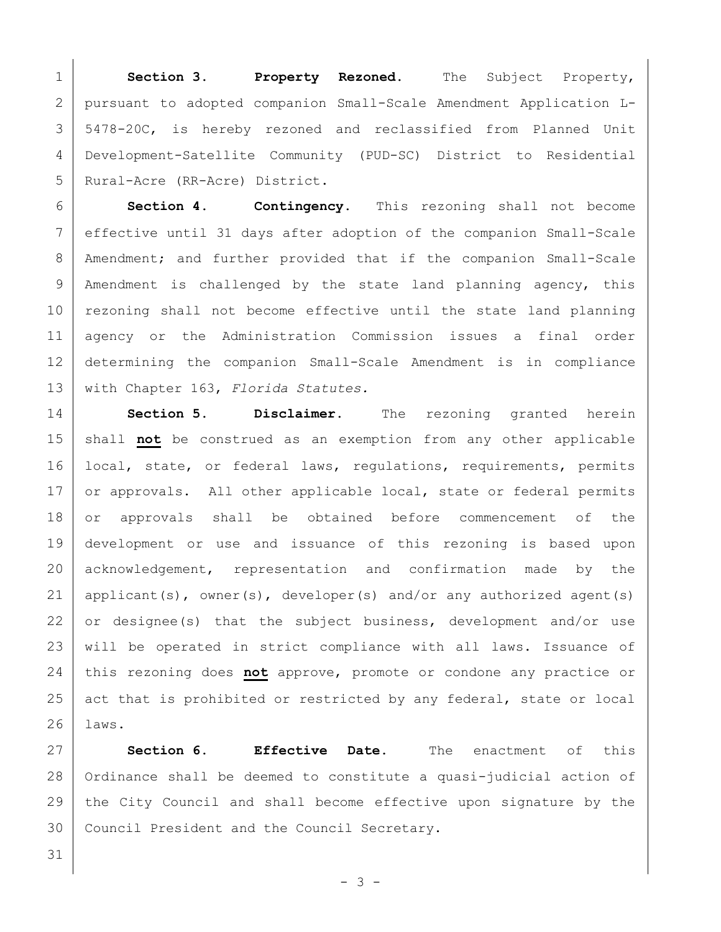**Section 3. Property Rezoned.** The Subject Property, pursuant to adopted companion Small-Scale Amendment Application L- 5478-20C, is hereby rezoned and reclassified from Planned Unit Development-Satellite Community (PUD-SC) District to Residential 5 | Rural-Acre (RR-Acre) District.

 **Section 4. Contingency.** This rezoning shall not become effective until 31 days after adoption of the companion Small-Scale 8 | Amendment; and further provided that if the companion Small-Scale 9 | Amendment is challenged by the state land planning agency, this 10 rezoning shall not become effective until the state land planning agency or the Administration Commission issues a final order determining the companion Small-Scale Amendment is in compliance with Chapter 163, *Florida Statutes.*

14 **Section 5. Disclaimer.** The rezoning granted herein 15 shall **not** be construed as an exemption from any other applicable 16 | local, state, or federal laws, regulations, requirements, permits 17 or approvals. All other applicable local, state or federal permits 18 or approvals shall be obtained before commencement of the 19 development or use and issuance of this rezoning is based upon 20 acknowledgement, representation and confirmation made by the 21 | applicant(s), owner(s), developer(s) and/or any authorized agent(s)  $22$  or designee(s) that the subject business, development and/or use 23 | will be operated in strict compliance with all laws. Issuance of 24 this rezoning does **not** approve, promote or condone any practice or 25 act that is prohibited or restricted by any federal, state or local 26 laws.

27 **Section 6. Effective Date.** The enactment of this 28 | Ordinance shall be deemed to constitute a quasi-judicial action of 29 the City Council and shall become effective upon signature by the 30 Council President and the Council Secretary.

- 3 -

31